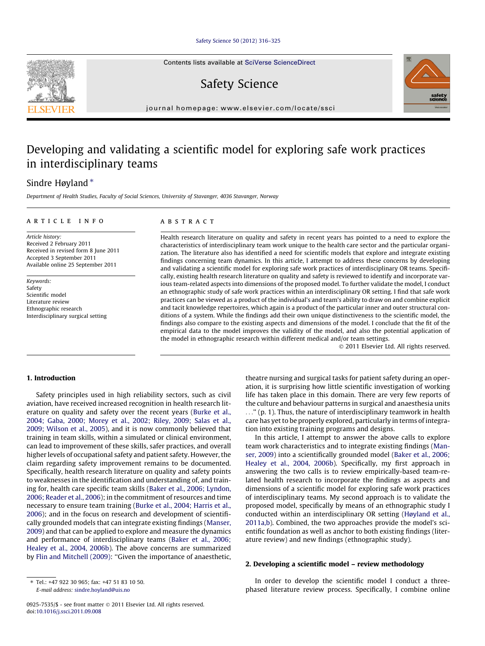#### [Safety Science 50 \(2012\) 316–325](http://dx.doi.org/10.1016/j.ssci.2011.09.008)

Contents lists available at [SciVerse ScienceDirect](http://www.sciencedirect.com/science/journal/09257535)

Safety Science

journal homepage: [www.elsevier.com/locate/ssci](http://www.elsevier.com/locate/ssci)

## Developing and validating a scientific model for exploring safe work practices in interdisciplinary teams

### Sindre Høyland\*

Department of Health Studies, Faculty of Social Sciences, University of Stavanger, 4036 Stavanger, Norway

#### article info

Article history: Received 2 February 2011 Received in revised form 8 June 2011 Accepted 3 September 2011 Available online 25 September 2011

Keywords: Safety Scientific model Literature review Ethnographic research Interdisciplinary surgical setting

#### **ABSTRACT**

Health research literature on quality and safety in recent years has pointed to a need to explore the characteristics of interdisciplinary team work unique to the health care sector and the particular organization. The literature also has identified a need for scientific models that explore and integrate existing findings concerning team dynamics. In this article, I attempt to address these concerns by developing and validating a scientific model for exploring safe work practices of interdisciplinary OR teams. Specifically, existing health research literature on quality and safety is reviewed to identify and incorporate various team-related aspects into dimensions of the proposed model. To further validate the model, I conduct an ethnographic study of safe work practices within an interdisciplinary OR setting. I find that safe work practices can be viewed as a product of the individual's and team's ability to draw on and combine explicit and tacit knowledge repertoires, which again is a product of the particular inner and outer structural conditions of a system. While the findings add their own unique distinctiveness to the scientific model, the findings also compare to the existing aspects and dimensions of the model. I conclude that the fit of the empirical data to the model improves the validity of the model, and also the potential application of the model in ethnographic research within different medical and/or team settings.

- 2011 Elsevier Ltd. All rights reserved.

#### 1. Introduction

Safety principles used in high reliability sectors, such as civil aviation, have received increased recognition in health research literature on quality and safety over the recent years [\(Burke et al.,](#page--1-0) [2004; Gaba, 2000; Morey et al., 2002; Riley, 2009; Salas et al.,](#page--1-0) [2009; Wilson et al., 2005](#page--1-0)), and it is now commonly believed that training in team skills, within a simulated or clinical environment, can lead to improvement of these skills, safer practices, and overall higher levels of occupational safety and patient safety. However, the claim regarding safety improvement remains to be documented. Specifically, health research literature on quality and safety points to weaknesses in the identification and understanding of, and training for, health care specific team skills [\(Baker et al., 2006; Lyndon,](#page--1-0) [2006; Reader et al., 2006\)](#page--1-0); in the commitment of resources and time necessary to ensure team training ([Burke et al., 2004; Harris et al.,](#page--1-0) [2006\)](#page--1-0); and in the focus on research and development of scientifically grounded models that can integrate existing findings ([Manser,](#page--1-0) [2009\)](#page--1-0) and that can be applied to explore and measure the dynamics and performance of interdisciplinary teams ([Baker et al., 2006;](#page--1-0) [Healey et al., 2004, 2006b](#page--1-0)). The above concerns are summarized by [Flin and Mitchell \(2009\):](#page--1-0) ''Given the importance of anaesthetic, theatre nursing and surgical tasks for patient safety during an operation, it is surprising how little scientific investigation of working life has taken place in this domain. There are very few reports of the culture and behaviour patterns in surgical and anaesthesia units ...'' (p. 1). Thus, the nature of interdisciplinary teamwork in health care has yet to be properly explored, particularly in terms of integration into existing training programs and designs.

In this article, I attempt to answer the above calls to explore team work characteristics and to integrate existing findings ([Man](#page--1-0)[ser, 2009](#page--1-0)) into a scientifically grounded model [\(Baker et al., 2006;](#page--1-0) [Healey et al., 2004, 2006b](#page--1-0)). Specifically, my first approach in answering the two calls is to review empirically-based team-related health research to incorporate the findings as aspects and dimensions of a scientific model for exploring safe work practices of interdisciplinary teams. My second approach is to validate the proposed model, specifically by means of an ethnographic study I conducted within an interdisciplinary OR setting ([Høyland et al.,](#page--1-0) [2011a,b\)](#page--1-0). Combined, the two approaches provide the model's scientific foundation as well as anchor to both existing findings (literature review) and new findings (ethnographic study).

#### 2. Developing a scientific model – review methodology

In order to develop the scientific model I conduct a threephased literature review process. Specifically, I combine online





<sup>⇑</sup> Tel.: +47 922 30 965; fax: +47 51 83 10 50. E-mail address: [sindre.hoyland@uis.no](mailto:sindre.hoyland@uis.no)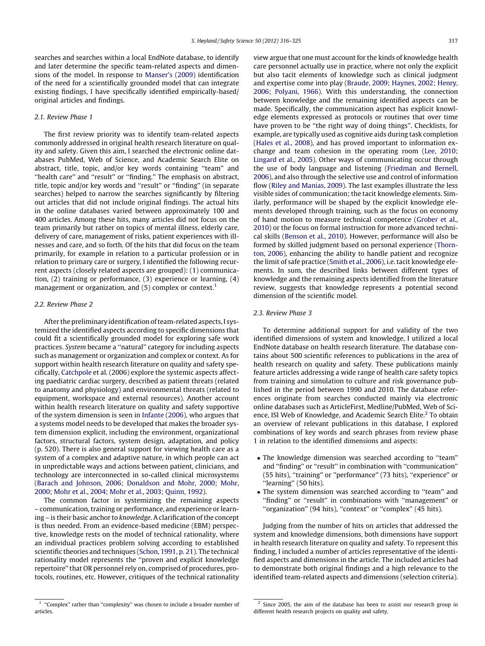searches and searches within a local EndNote database, to identify and later determine the specific team-related aspects and dimensions of the model. In response to [Manser's \(2009\)](#page--1-0) identification of the need for a scientifically grounded model that can integrate existing findings, I have specifically identified empirically-based/ original articles and findings.

#### 2.1. Review Phase 1

The first review priority was to identify team-related aspects commonly addressed in original health research literature on quality and safety. Given this aim, I searched the electronic online databases PubMed, Web of Science, and Academic Search Elite on abstract, title, topic, and/or key words containing ''team'' and "health care" and "result" or "finding." The emphasis on abstract, title, topic and/or key words and ''result'' or ''finding'' (in separate searches) helped to narrow the searches significantly by filtering out articles that did not include original findings. The actual hits in the online databases varied between approximately 100 and 400 articles. Among these hits, many articles did not focus on the team primarily but rather on topics of mental illness, elderly care, delivery of care, management of risks, patient experiences with illnesses and care, and so forth. Of the hits that did focus on the team primarily, for example in relation to a particular profession or in relation to primary care or surgery, I identified the following recurrent aspects (closely related aspects are grouped): (1) communication, (2) training or performance, (3) experience or learning, (4) management or organization, and (5) complex or context.<sup>1</sup>

#### 2.2. Review Phase 2

After the preliminary identification of team-related aspects, I systemized the identified aspects according to specific dimensions that could fit a scientifically grounded model for exploring safe work practices. System became a ''natural'' category for including aspects such as management or organization and complex or context. As for support within health research literature on quality and safety specifically, [Catchpole](#page--1-0) et al. (2006) explore the systemic aspects affecting paediatric cardiac surgery, described as patient threats (related to anatomy and physiology) and environmental threats (related to equipment, workspace and external resources). Another account within health research literature on quality and safety supportive of the system dimension is seen in [Infante \(2006\)](#page--1-0), who argues that a systems model needs to be developed that makes the broader system dimension explicit, including the environment, organizational factors, structural factors, system design, adaptation, and policy (p. 520). There is also general support for viewing health care as a system of a complex and adaptive nature, in which people can act in unpredictable ways and actions between patient, clinicians, and technology are interconnected in so-called clinical microsystems ([Barach and Johnson, 2006; Donaldson and Mohr, 2000; Mohr,](#page--1-0) [2000; Mohr et al., 2004; Mohr et al., 2003; Quinn, 1992](#page--1-0)).

The common factor in systemizing the remaining aspects – communication, training or performance, and experience or learning – is their basic anchor to knowledge. A clarification of the concept is thus needed. From an evidence-based medicine (EBM) perspective, knowledge rests on the model of technical rationality, where an individual practices problem solving according to established scientific theories and techniques [\(Schon, 1991, p. 21\)](#page--1-0). The technical rationality model represents the ''proven and explicit knowledge repertoire'' that OR personnel rely on, comprised of procedures, protocols, routines, etc. However, critiques of the technical rationality

#### 2.3. Review Phase 3

To determine additional support for and validity of the two identified dimensions of system and knowledge, I utilized a local EndNote database on health research literature. The database contains about 500 scientific references to publications in the area of health research on quality and safety. These publications mainly feature articles addressing a wide range of health care safety topics from training and simulation to culture and risk governance published in the period between 1990 and 2010. The database references originate from searches conducted mainly via electronic online databases such as ArticleFirst, Medline/PubMed, Web of Science, ISI Web of Knowledge, and Academic Search Elite.<sup>2</sup> To obtain an overview of relevant publications in this database, I explored combinations of key words and search phrases from review phase 1 in relation to the identified dimensions and aspects:

- The knowledge dimension was searched according to "team" and ''finding'' or ''result'' in combination with ''communication'' (55 hits), "training" or "performance" (73 hits), "experience" or "learning" (50 hits).
- The system dimension was searched according to "team" and ''finding'' or ''result'' in combinations with ''management'' or "organization" (94 hits), "context" or "complex" (45 hits).

Judging from the number of hits on articles that addressed the system and knowledge dimensions, both dimensions have support in health research literature on quality and safety. To represent this finding, I included a number of articles representative of the identified aspects and dimensions in the article. The included articles had to demonstrate both original findings and a high relevance to the identified team-related aspects and dimensions (selection criteria).

view argue that one must account for the kinds of knowledge health care personnel actually use in practice, where not only the explicit but also tacit elements of knowledge such as clinical judgment and expertise come into play ([Braude, 2009; Haynes, 2002; Henry,](#page--1-0) [2006; Polyani, 1966](#page--1-0)). With this understanding, the connection between knowledge and the remaining identified aspects can be made. Specifically, the communication aspect has explicit knowledge elements expressed as protocols or routines that over time have proven to be ''the right way of doing things''. Checklists, for example, are typically used as cognitive aids during task completion ([Hales et al., 2008\)](#page--1-0), and has proved important to information exchange and team cohesion in the operating room ([Lee, 2010;](#page--1-0) [Lingard et al., 2005](#page--1-0)). Other ways of communicating occur through the use of body language and listening ([Friedman and Bernell,](#page--1-0) [2006](#page--1-0)), and also through the selective use and control of information flow [\(Riley and Manias, 2009\)](#page--1-0). The last examples illustrate the less visible sides of communication; the tacit knowledge elements. Similarly, performance will be shaped by the explicit knowledge elements developed through training, such as the focus on economy of hand motion to measure technical competence ([Grober et al.,](#page--1-0) [2010](#page--1-0)) or the focus on formal instruction for more advanced technical skills ([Benson et al., 2010\)](#page--1-0). However, performance will also be formed by skilled judgment based on personal experience ([Thorn](#page--1-0)[ton, 2006\)](#page--1-0), enhancing the ability to handle patient and recognize the limit of safe practice ([Smith et al., 2006\)](#page--1-0), i.e. tacit knowledge elements. In sum, the described links between different types of knowledge and the remaining aspects identified from the literature review, suggests that knowledge represents a potential second dimension of the scientific model.

 $1$  "Complex" rather than "complexity" was chosen to include a broader number of articles.

<sup>&</sup>lt;sup>2</sup> Since 2005, the aim of the database has been to assist our research group in different health research projects on quality and safety.